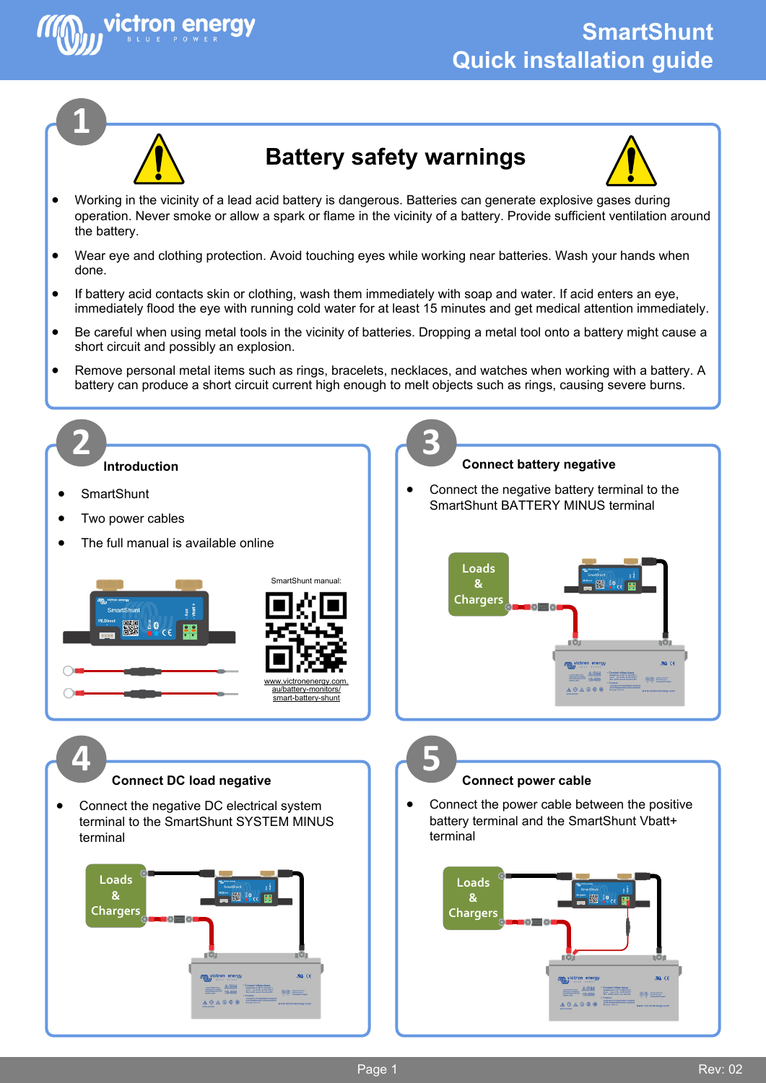



victron enerav

## **Battery safety warnings**



- Working in the vicinity of a lead acid battery is dangerous. Batteries can generate explosive gases during operation. Never smoke or allow a spark or flame in the vicinity of a battery. Provide sufficient ventilation around the battery.
- Wear eye and clothing protection. Avoid touching eyes while working near batteries. Wash your hands when done.
- If battery acid contacts skin or clothing, wash them immediately with soap and water. If acid enters an eye, immediately flood the eye with running cold water for at least 15 minutes and get medical attention immediately.
- Be careful when using metal tools in the vicinity of batteries. Dropping a metal tool onto a battery might cause a short circuit and possibly an explosion.
- Remove personal metal items such as rings, bracelets, necklaces, and watches when working with a battery. A battery can produce a short circuit current high enough to melt objects such as rings, causing severe burns.